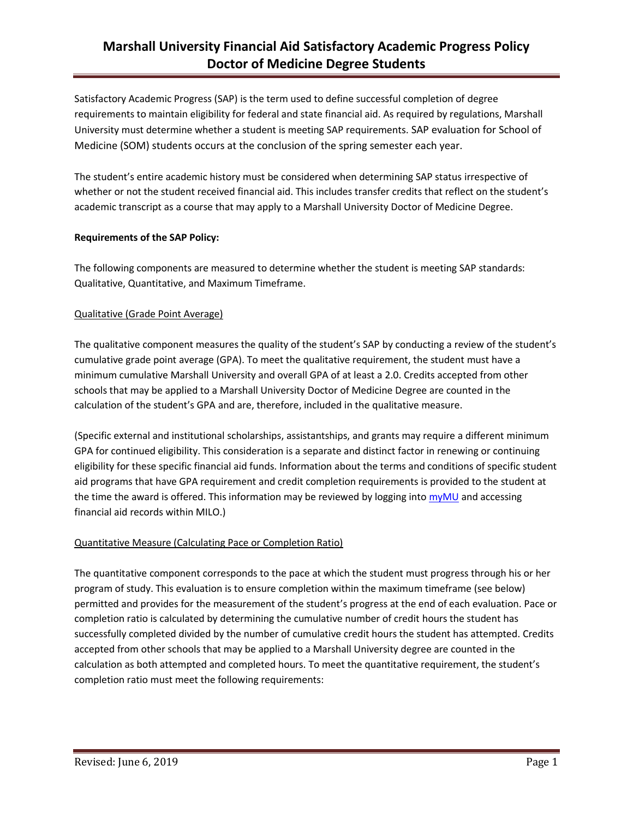# **Marshall University Financial Aid Satisfactory Academic Progress Policy Doctor of Medicine Degree Students**

Satisfactory Academic Progress (SAP) is the term used to define successful completion of degree requirements to maintain eligibility for federal and state financial aid. As required by regulations, Marshall University must determine whether a student is meeting SAP requirements. SAP evaluation for School of Medicine (SOM) students occurs at the conclusion of the spring semester each year.

The student's entire academic history must be considered when determining SAP status irrespective of whether or not the student received financial aid. This includes transfer credits that reflect on the student's academic transcript as a course that may apply to a Marshall University Doctor of Medicine Degree.

### **Requirements of the SAP Policy:**

The following components are measured to determine whether the student is meeting SAP standards: Qualitative, Quantitative, and Maximum Timeframe.

## Qualitative (Grade Point Average)

The qualitative component measures the quality of the student's SAP by conducting a review of the student's cumulative grade point average (GPA). To meet the qualitative requirement, the student must have a minimum cumulative Marshall University and overall GPA of at least a 2.0. Credits accepted from other schools that may be applied to a Marshall University Doctor of Medicine Degree are counted in the calculation of the student's GPA and are, therefore, included in the qualitative measure.

(Specific external and institutional scholarships, assistantships, and grants may require a different minimum GPA for continued eligibility. This consideration is a separate and distinct factor in renewing or continuing eligibility for these specific financial aid funds. Information about the terms and conditions of specific student aid programs that have GPA requirement and credit completion requirements is provided to the student at the time the award is offered. This information may be reviewed by logging into [myMU](https://mulm4pd.marshall.edu/cp/home/displaylogin) and accessing financial aid records within MILO.)

## Quantitative Measure (Calculating Pace or Completion Ratio)

The quantitative component corresponds to the pace at which the student must progress through his or her program of study. This evaluation is to ensure completion within the maximum timeframe (see below) permitted and provides for the measurement of the student's progress at the end of each evaluation. Pace or completion ratio is calculated by determining the cumulative number of credit hours the student has successfully completed divided by the number of cumulative credit hours the student has attempted. Credits accepted from other schools that may be applied to a Marshall University degree are counted in the calculation as both attempted and completed hours. To meet the quantitative requirement, the student's completion ratio must meet the following requirements: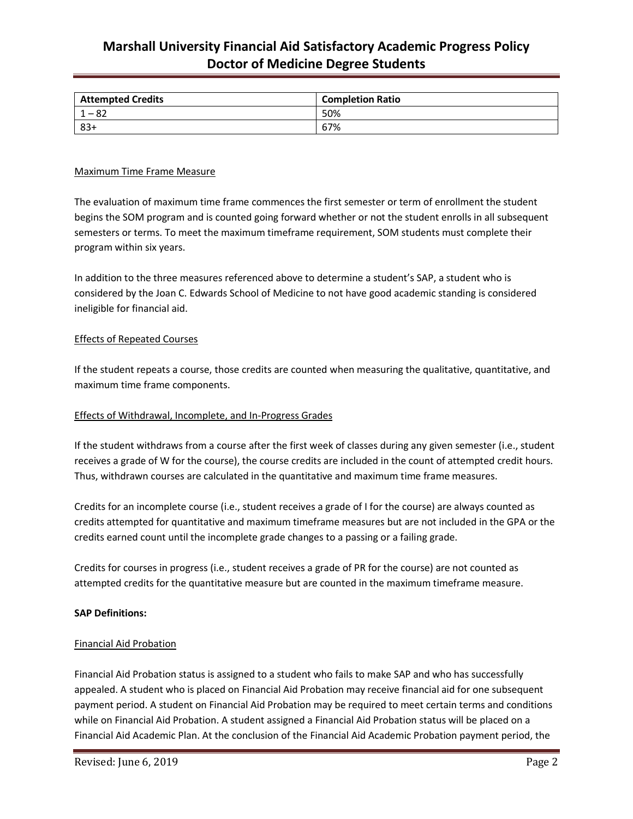## **Marshall University Financial Aid Satisfactory Academic Progress Policy Doctor of Medicine Degree Students**

| <b>Attempted Credits</b> | <b>Completion Ratio</b> |
|--------------------------|-------------------------|
| ٥z                       | 50%                     |
| $83 +$                   | 67%                     |

### Maximum Time Frame Measure

The evaluation of maximum time frame commences the first semester or term of enrollment the student begins the SOM program and is counted going forward whether or not the student enrolls in all subsequent semesters or terms. To meet the maximum timeframe requirement, SOM students must complete their program within six years.

In addition to the three measures referenced above to determine a student's SAP, a student who is considered by the Joan C. Edwards School of Medicine to not have good academic standing is considered ineligible for financial aid.

#### Effects of Repeated Courses

If the student repeats a course, those credits are counted when measuring the qualitative, quantitative, and maximum time frame components.

#### Effects of Withdrawal, Incomplete, and In-Progress Grades

If the student withdraws from a course after the first week of classes during any given semester (i.e., student receives a grade of W for the course), the course credits are included in the count of attempted credit hours. Thus, withdrawn courses are calculated in the quantitative and maximum time frame measures.

Credits for an incomplete course (i.e., student receives a grade of I for the course) are always counted as credits attempted for quantitative and maximum timeframe measures but are not included in the GPA or the credits earned count until the incomplete grade changes to a passing or a failing grade.

Credits for courses in progress (i.e., student receives a grade of PR for the course) are not counted as attempted credits for the quantitative measure but are counted in the maximum timeframe measure.

#### **SAP Definitions:**

#### Financial Aid Probation

Financial Aid Probation status is assigned to a student who fails to make SAP and who has successfully appealed. A student who is placed on Financial Aid Probation may receive financial aid for one subsequent payment period. A student on Financial Aid Probation may be required to meet certain terms and conditions while on Financial Aid Probation. A student assigned a Financial Aid Probation status will be placed on a Financial Aid Academic Plan. At the conclusion of the Financial Aid Academic Probation payment period, the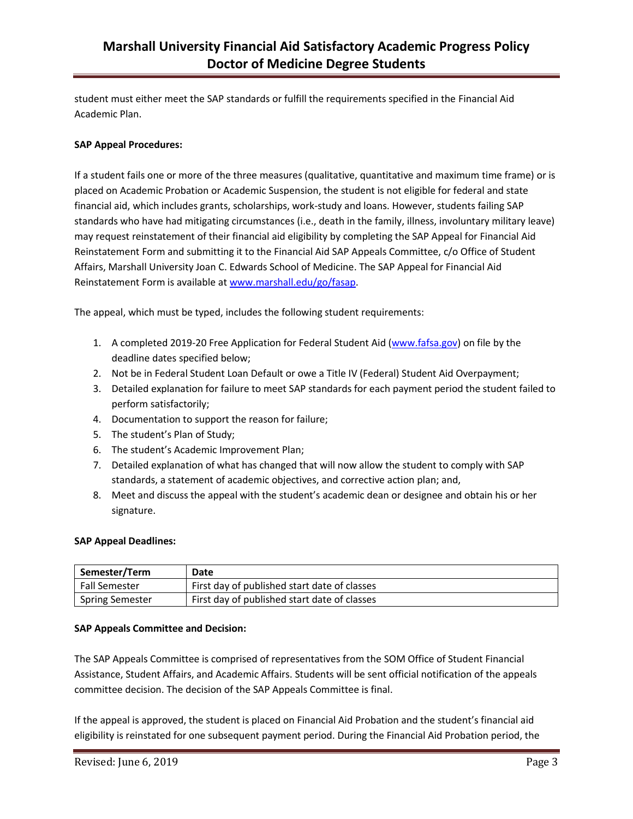student must either meet the SAP standards or fulfill the requirements specified in the Financial Aid Academic Plan.

## **SAP Appeal Procedures:**

If a student fails one or more of the three measures (qualitative, quantitative and maximum time frame) or is placed on Academic Probation or Academic Suspension, the student is not eligible for federal and state financial aid, which includes grants, scholarships, work-study and loans. However, students failing SAP standards who have had mitigating circumstances (i.e., death in the family, illness, involuntary military leave) may request reinstatement of their financial aid eligibility by completing the SAP Appeal for Financial Aid Reinstatement Form and submitting it to the Financial Aid SAP Appeals Committee, c/o Office of Student Affairs, Marshall University Joan C. Edwards School of Medicine. The SAP Appeal for Financial Aid Reinstatement Form is available at [www.marshall.edu/go/fasap.](http://www.marshall.edu/go/fasap)

The appeal, which must be typed, includes the following student requirements:

- 1. A completed 2019-20 Free Application for Federal Student Aid [\(www.fafsa.gov\)](http://www.fafsa.gov/) on file by the deadline dates specified below;
- 2. Not be in Federal Student Loan Default or owe a Title IV (Federal) Student Aid Overpayment;
- 3. Detailed explanation for failure to meet SAP standards for each payment period the student failed to perform satisfactorily;
- 4. Documentation to support the reason for failure;
- 5. The student's Plan of Study;
- 6. The student's Academic Improvement Plan;
- 7. Detailed explanation of what has changed that will now allow the student to comply with SAP standards, a statement of academic objectives, and corrective action plan; and,
- 8. Meet and discuss the appeal with the student's academic dean or designee and obtain his or her signature.

### **SAP Appeal Deadlines:**

| Semester/Term        | Date                                         |
|----------------------|----------------------------------------------|
| <b>Fall Semester</b> | First day of published start date of classes |
| Spring Semester      | First day of published start date of classes |

## **SAP Appeals Committee and Decision:**

The SAP Appeals Committee is comprised of representatives from the SOM Office of Student Financial Assistance, Student Affairs, and Academic Affairs. Students will be sent official notification of the appeals committee decision. The decision of the SAP Appeals Committee is final.

If the appeal is approved, the student is placed on Financial Aid Probation and the student's financial aid eligibility is reinstated for one subsequent payment period. During the Financial Aid Probation period, the